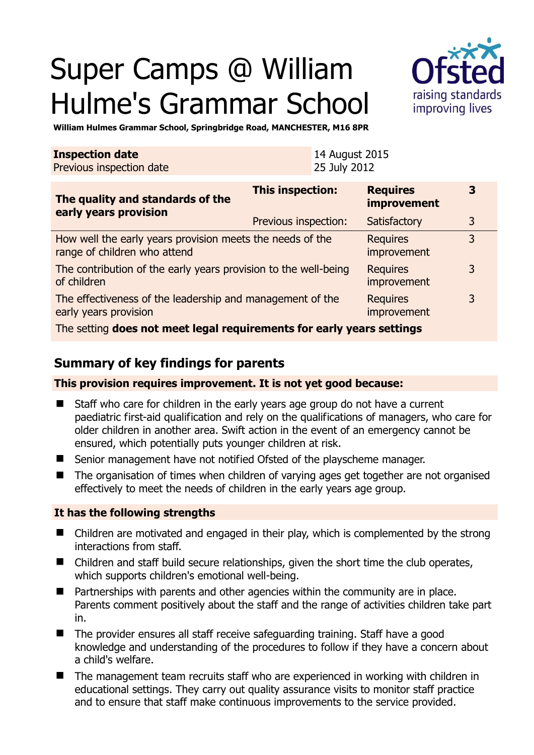# Super Camps @ William Hulme's Grammar School



**3** 

3

3

3

**William Hulmes Grammar School, Springbridge Road, MANCHESTER, M16 8PR** 

| <b>Inspection date</b><br>Previous inspection date | 14 August 2015<br>25 July 2012 |                                |   |
|----------------------------------------------------|--------------------------------|--------------------------------|---|
| The quality and standards of the                   | This inspection:               | <b>Requires</b><br>improvement |   |
| early years provision                              | Previous inspection:           | Satisfactory                   | 3 |

How well the early years provision meets the needs of the range of children who attend **Requires** improvement The contribution of the early years provision to the well-being of children Requires improvement The effectiveness of the leadership and management of the early years provision Requires improvement

The setting **does not meet legal requirements for early years settings**

# **Summary of key findings for parents**

## **This provision requires improvement. It is not yet good because:**

- Staff who care for children in the early years age group do not have a current paediatric first-aid qualification and rely on the qualifications of managers, who care for older children in another area. Swift action in the event of an emergency cannot be ensured, which potentially puts younger children at risk.
- Senior management have not notified Ofsted of the playscheme manager.
- The organisation of times when children of varying ages get together are not organised effectively to meet the needs of children in the early years age group.

## **It has the following strengths**

- Children are motivated and engaged in their play, which is complemented by the strong interactions from staff.
- Children and staff build secure relationships, given the short time the club operates, which supports children's emotional well-being.
- Partnerships with parents and other agencies within the community are in place. Parents comment positively about the staff and the range of activities children take part in.
- The provider ensures all staff receive safeguarding training. Staff have a good knowledge and understanding of the procedures to follow if they have a concern about a child's welfare.
- The management team recruits staff who are experienced in working with children in educational settings. They carry out quality assurance visits to monitor staff practice and to ensure that staff make continuous improvements to the service provided.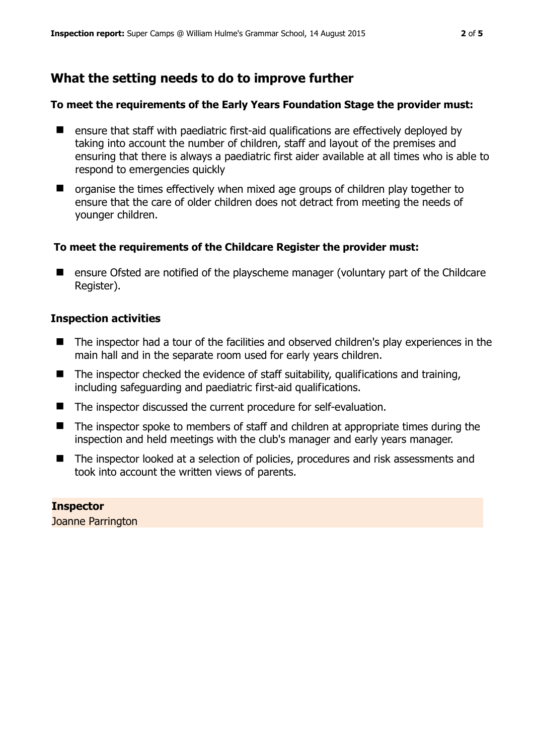# **What the setting needs to do to improve further**

## **To meet the requirements of the Early Years Foundation Stage the provider must:**

- ensure that staff with paediatric first-aid qualifications are effectively deployed by taking into account the number of children, staff and layout of the premises and ensuring that there is always a paediatric first aider available at all times who is able to respond to emergencies quickly
- $\blacksquare$  organise the times effectively when mixed age groups of children play together to ensure that the care of older children does not detract from meeting the needs of younger children.

## **To meet the requirements of the Childcare Register the provider must:**

■ ensure Ofsted are notified of the playscheme manager (voluntary part of the Childcare Register).

## **Inspection activities**

- The inspector had a tour of the facilities and observed children's play experiences in the main hall and in the separate room used for early years children.
- $\blacksquare$  The inspector checked the evidence of staff suitability, qualifications and training, including safeguarding and paediatric first-aid qualifications.
- The inspector discussed the current procedure for self-evaluation.
- The inspector spoke to members of staff and children at appropriate times during the inspection and held meetings with the club's manager and early years manager.
- The inspector looked at a selection of policies, procedures and risk assessments and took into account the written views of parents.

**Inspector**  Joanne Parrington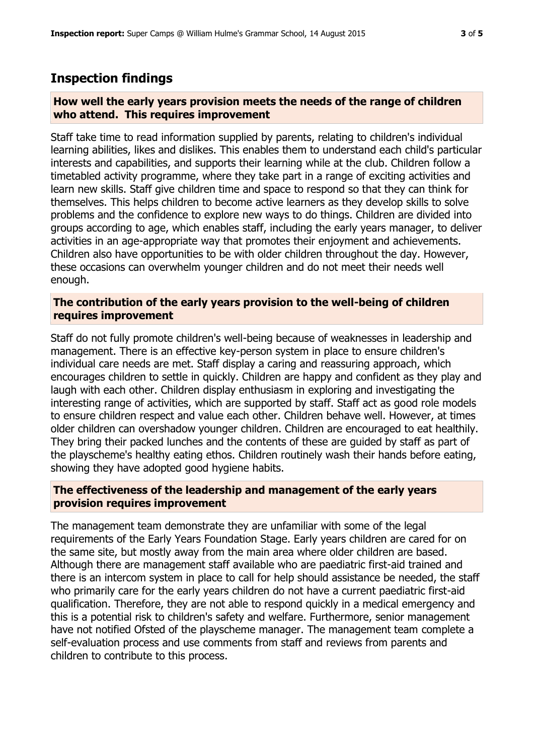# **Inspection findings**

## **How well the early years provision meets the needs of the range of children who attend. This requires improvement**

Staff take time to read information supplied by parents, relating to children's individual learning abilities, likes and dislikes. This enables them to understand each child's particular interests and capabilities, and supports their learning while at the club. Children follow a timetabled activity programme, where they take part in a range of exciting activities and learn new skills. Staff give children time and space to respond so that they can think for themselves. This helps children to become active learners as they develop skills to solve problems and the confidence to explore new ways to do things. Children are divided into groups according to age, which enables staff, including the early years manager, to deliver activities in an age-appropriate way that promotes their enjoyment and achievements. Children also have opportunities to be with older children throughout the day. However, these occasions can overwhelm younger children and do not meet their needs well enough.

## **The contribution of the early years provision to the well-being of children requires improvement**

Staff do not fully promote children's well-being because of weaknesses in leadership and management. There is an effective key-person system in place to ensure children's individual care needs are met. Staff display a caring and reassuring approach, which encourages children to settle in quickly. Children are happy and confident as they play and laugh with each other. Children display enthusiasm in exploring and investigating the interesting range of activities, which are supported by staff. Staff act as good role models to ensure children respect and value each other. Children behave well. However, at times older children can overshadow younger children. Children are encouraged to eat healthily. They bring their packed lunches and the contents of these are guided by staff as part of the playscheme's healthy eating ethos. Children routinely wash their hands before eating, showing they have adopted good hygiene habits.

## **The effectiveness of the leadership and management of the early years provision requires improvement**

The management team demonstrate they are unfamiliar with some of the legal requirements of the Early Years Foundation Stage. Early years children are cared for on the same site, but mostly away from the main area where older children are based. Although there are management staff available who are paediatric first-aid trained and there is an intercom system in place to call for help should assistance be needed, the staff who primarily care for the early years children do not have a current paediatric first-aid qualification. Therefore, they are not able to respond quickly in a medical emergency and this is a potential risk to children's safety and welfare. Furthermore, senior management have not notified Ofsted of the playscheme manager. The management team complete a self-evaluation process and use comments from staff and reviews from parents and children to contribute to this process.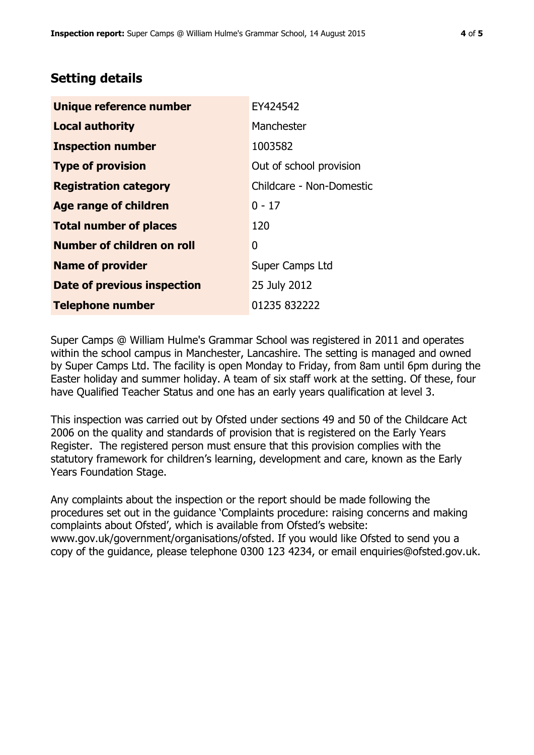# **Setting details**

| Unique reference number       | EY424542                 |
|-------------------------------|--------------------------|
| <b>Local authority</b>        | Manchester               |
| <b>Inspection number</b>      | 1003582                  |
| <b>Type of provision</b>      | Out of school provision  |
| <b>Registration category</b>  | Childcare - Non-Domestic |
| <b>Age range of children</b>  | $0 - 17$                 |
| <b>Total number of places</b> | 120                      |
| Number of children on roll    | 0                        |
| <b>Name of provider</b>       | Super Camps Ltd          |
| Date of previous inspection   | 25 July 2012             |
| <b>Telephone number</b>       | 01235 832222             |

Super Camps @ William Hulme's Grammar School was registered in 2011 and operates within the school campus in Manchester, Lancashire. The setting is managed and owned by Super Camps Ltd. The facility is open Monday to Friday, from 8am until 6pm during the Easter holiday and summer holiday. A team of six staff work at the setting. Of these, four have Qualified Teacher Status and one has an early years qualification at level 3.

This inspection was carried out by Ofsted under sections 49 and 50 of the Childcare Act 2006 on the quality and standards of provision that is registered on the Early Years Register. The registered person must ensure that this provision complies with the statutory framework for children's learning, development and care, known as the Early Years Foundation Stage.

Any complaints about the inspection or the report should be made following the procedures set out in the guidance 'Complaints procedure: raising concerns and making complaints about Ofsted', which is available from Ofsted's website: www.gov.uk/government/organisations/ofsted. If you would like Ofsted to send you a copy of the guidance, please telephone 0300 123 4234, or email enquiries@ofsted.gov.uk.